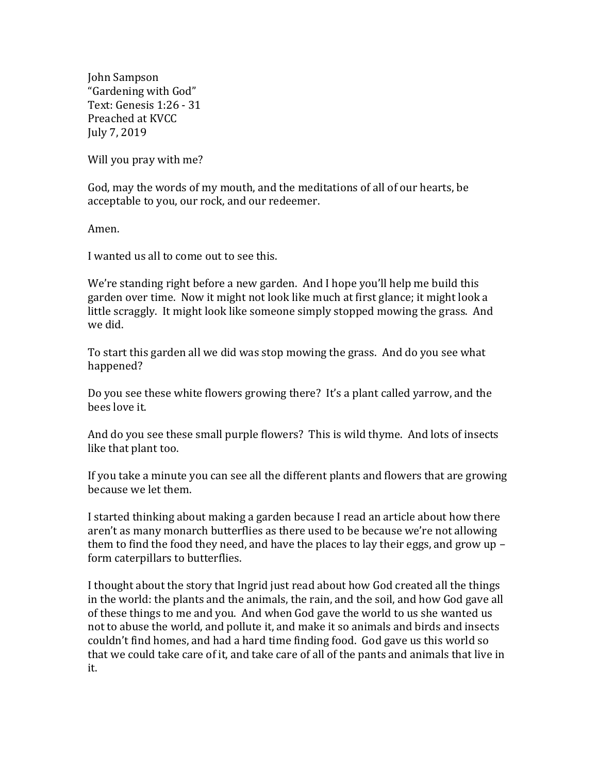John Sampson "Gardening with God" Text: Genesis 1:26 - 31 Preached at KVCC July 7, 2019

Will you pray with me?

God, may the words of my mouth, and the meditations of all of our hearts, be acceptable to you, our rock, and our redeemer.

Amen.

I wanted us all to come out to see this.

We're standing right before a new garden. And I hope you'll help me build this garden over time. Now it might not look like much at first glance; it might look a little scraggly. It might look like someone simply stopped mowing the grass. And we did.

To start this garden all we did was stop mowing the grass. And do you see what happened?

Do you see these white flowers growing there? It's a plant called yarrow, and the bees love it.

And do you see these small purple flowers? This is wild thyme. And lots of insects like that plant too.

If you take a minute you can see all the different plants and flowers that are growing because we let them.

I started thinking about making a garden because I read an article about how there aren't as many monarch butterflies as there used to be because we're not allowing them to find the food they need, and have the places to lay their eggs, and grow up – form caterpillars to butterflies.

I thought about the story that Ingrid just read about how God created all the things in the world: the plants and the animals, the rain, and the soil, and how God gave all of these things to me and you. And when God gave the world to us she wanted us not to abuse the world, and pollute it, and make it so animals and birds and insects couldn't find homes, and had a hard time finding food. God gave us this world so that we could take care of it, and take care of all of the pants and animals that live in it.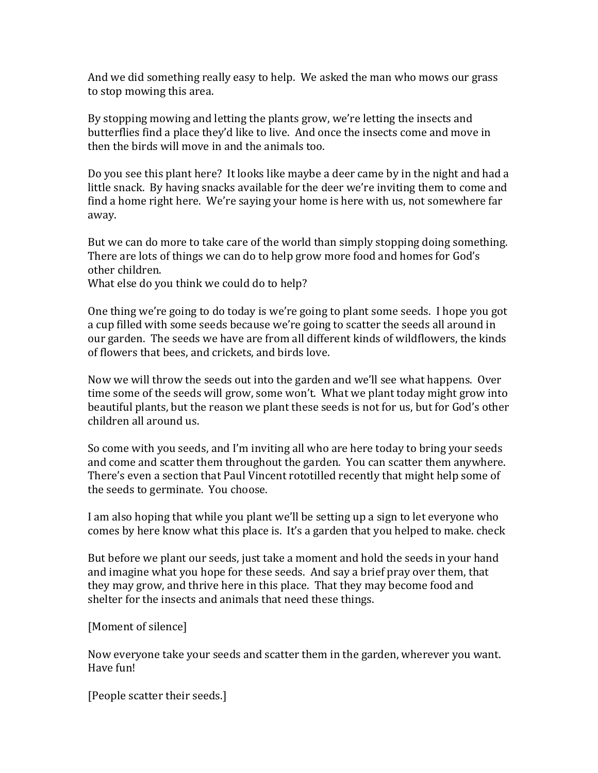And we did something really easy to help. We asked the man who mows our grass to stop mowing this area.

By stopping mowing and letting the plants grow, we're letting the insects and butterflies find a place they'd like to live. And once the insects come and move in then the birds will move in and the animals too.

Do you see this plant here? It looks like maybe a deer came by in the night and had a little snack. By having snacks available for the deer we're inviting them to come and find a home right here. We're saying your home is here with us, not somewhere far away.

But we can do more to take care of the world than simply stopping doing something. There are lots of things we can do to help grow more food and homes for God's other children.

What else do you think we could do to help?

One thing we're going to do today is we're going to plant some seeds. I hope you got a cup filled with some seeds because we're going to scatter the seeds all around in our garden. The seeds we have are from all different kinds of wildflowers, the kinds of flowers that bees, and crickets, and birds love.

Now we will throw the seeds out into the garden and we'll see what happens. Over time some of the seeds will grow, some won't. What we plant today might grow into beautiful plants, but the reason we plant these seeds is not for us, but for God's other children all around us.

So come with you seeds, and I'm inviting all who are here today to bring your seeds and come and scatter them throughout the garden. You can scatter them anywhere. There's even a section that Paul Vincent rototilled recently that might help some of the seeds to germinate. You choose.

I am also hoping that while you plant we'll be setting up a sign to let everyone who comes by here know what this place is. It's a garden that you helped to make. check

But before we plant our seeds, just take a moment and hold the seeds in your hand and imagine what you hope for these seeds. And say a brief pray over them, that they may grow, and thrive here in this place. That they may become food and shelter for the insects and animals that need these things.

## [Moment of silence]

Now everyone take your seeds and scatter them in the garden, wherever you want. Have fun!

[People scatter their seeds.]